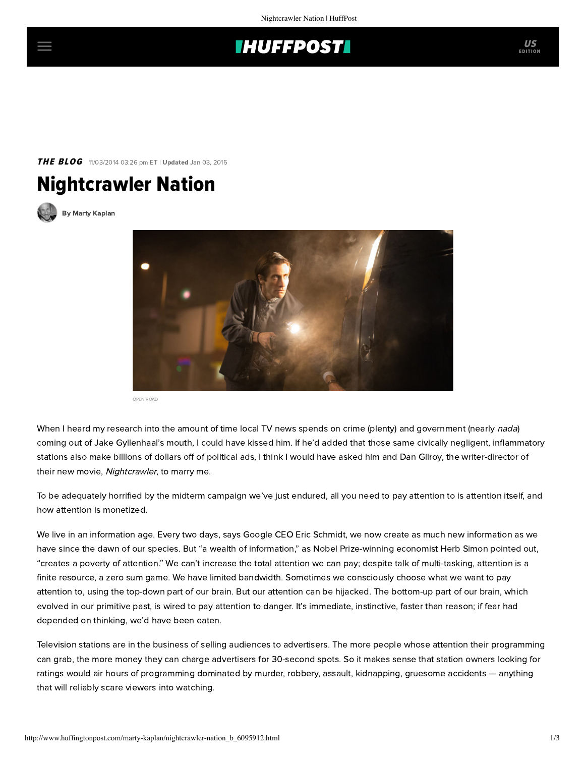# **THUFFPOST**

## **THE BLOG** 11/03/2014 03:26 pm ET | Updated Jan 03, 2015





[By Marty Kaplan](http://www.huffingtonpost.com/author/marty-kaplan)



OPEN ROAD

When I heard my [research](http://www.learcenter.org/pdf/LANews2010.pdf) into the amount of time local TV news spends on crime (plenty) and government (nearly *nada*) coming out of Jake Gyllenhaal's mouth, I could have kissed him. If he'd added that those same civically negligent, inflammatory stations also make billions of dollars off of political ads, I think I would have asked him and [Dan Gilroy,](http://www.wnyc.org/story/the-leonard-lopate-show-2014-10-31/) the writer-director of their new movie, Nightcrawler, to marry me.

To be adequately horrified by the midterm campaign we've just endured, all you need to pay attention to is attention itself, and how attention is monetized.

We live in an information age. Every two days, says Google CEO [Eric Schmidt,](http://techcrunch.com/2010/08/04/schmidt-data/) we now create as much new information as we have since the dawn of our species. But "a wealth of information," as Nobel Prize-winning economist Herb Simon [pointed out,](http://www.kkst.org/kovir/huHU/dmi/attachments/simon_h-article.pdf) "creates a poverty of attention." We can't increase the total attention we can pay; despite talk of multi-tasking, attention is a finite resource, a zero sum game. [We have limited bandwidth](https://www.youtube.com/watch?v=fXIeFJCqsPs&feature=youtu.be). Sometimes we consciously choose what we want to pay attention to, using the top-down part of our [brain.](http://www.learcenter.org/pdf/Barcelona2012.pdf) But our attention can be hijacked. The bottom-up part of our brain, which evolved in our primitive past, is wired to pay attention to danger. It's immediate, instinctive, faster than reason; if fear had depended on thinking, we'd have been eaten.

Television stations are in the business of selling audiences to advertisers. The more people whose attention their programming can grab, the more money they can charge advertisers for 30-second spots. So it makes sense that station owners looking for ratings would air hours of programming dominated by murder, robbery, assault, kidnapping, gruesome accidents — anything that will reliably scare viewers into watching.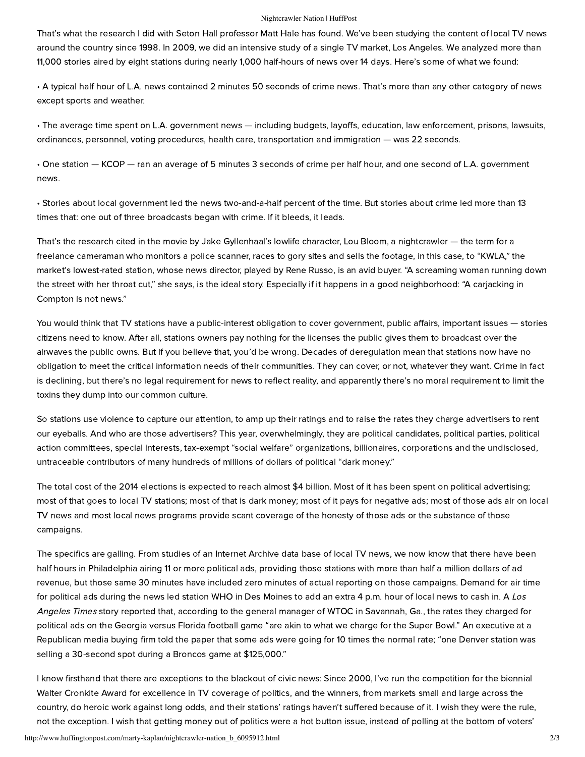#### Nightcrawler Nation | HuffPost

That's what the research I did with Seton Hall professor [Matt Hale](http://www.shu.edu/academics/profiles/faculty/174340) has found. We've been studying the content of local TV news around the country [since 1998.](http://www.learcenter.org/html/projects/?cm=news) In 2009, we did an intensive study of a single TV market, Los Angeles. We analyzed more than 11,000 stories aired by eight stations during nearly 1,000 half-hours of news over 14 days. Here's some of [what we found](http://www.learcenter.org/pdf/LANews2010.pdf):

• A typical half hour of L.A. news contained 2 minutes 50 seconds of crime news. That's more than any other category of news except sports and weather.

• The average time spent on L.A. government news — including budgets, layoffs, education, law enforcement, prisons, lawsuits, ordinances, personnel, voting procedures, health care, transportation and immigration — was 22 seconds.

• One station — KCOP — ran an average of 5 minutes 3 seconds of crime per half hour, and one second of L.A. government news.

• Stories about local government led the news two-and-a-half percent of the time. But stories about crime led more than 13 times that: one out of three broadcasts began with crime. If it bleeds, it leads.

That's the research cited [in the movie](http://www.latimes.com/entertainment/movies/la-et-mn-nightcrawler-20141026-story.html) by Jake Gyllenhaal's lowlife character, Lou Bloom, a nightcrawler — the term for a freelance cameraman who monitors a police scanner, races to gory sites and sells the footage, in this case, to "KWLA," the market's lowest-rated station, whose news director, played by Rene Russo, is an avid buyer. "A screaming woman running down the street with her throat cut," she says, is the ideal story. Especially if it happens in a good neighborhood: "A carjacking in Compton is not news."

You would think that TV stations have a public-interest obligation to cover government, public affairs, important issues — stories citizens need to know. After all, stations owners pay nothing for the licenses the public gives them to broadcast over the airwaves the public owns. But if you believe that, you'd be wrong. Decades of deregulation mean that stations now have no obligation to meet the critical information needs of their communities. They can cover, or not, whatever they want. Crime in fact is declining, but there's no legal requirement for news to reflect reality, and apparently there's no moral requirement to limit the toxins they dump into our common culture.

So stations use violence to capture our attention, to amp up their ratings and to raise the rates they charge advertisers to rent our eyeballs. And who are those advertisers? This year, overwhelmingly, they are political candidates, political parties, political action committees, special interests, tax-exempt "social welfare" organizations, billionaires, corporations and the undisclosed, untraceable contributors of many hundreds of millions of dollars of political ["dark money](http://www.latimes.com/nation/politics/la-na-dark-money-20141019-story.html#page=1)."

The total cost of the 2014 elections is expected to reach almost [\\$4](http://www.opensecrets.org/news/2014/10/election-to-cost-nearly-4-billion-crp-projects-topping-previous-midterms/) billion. Most of it has been spent on political advertising; most of that goes to local TV stations; most of that is dark money; most of it pays for negative ads; most of those ads air on local TV news and most local news programs provide scant coverage of the honesty of those ads or the substance of those campaigns.

The specifics are galling. From [studies](http://sunlightfoundation.com/blog/2014/10/23/thirty-minutes-on-philly-tv-news-11-political-ads-no-political-stories/) of an [Internet Archive data base](https://archive.org/details/2014PhillyAds) of local TV news, we now know that there have been half hours in Philadelphia airing 11 [or more](https://archive.org/details/BuildingLibrariesTogether20141028?start=2692) political ads, providing those stations with more than half a million dollars of ad revenue, but those same 30 minutes have included zero minutes of actual reporting on those campaigns. Demand for air time for political ads during the news led station WHO in Des Moines to add an extra 4 p.m. hour of local news to cash in. A Los Angeles Times [story reported that, according to the general manager of WTOC in Savannah, Ga., the rates they charged fo](http://www.latimes.com/business/la-fi-tv-campaign-ads-20141028-story.html#page=1)r political ads on the Georgia versus Florida football game "are akin to what we charge for the Super Bowl." An executive at a Republican media buying firm told the paper that some ads were going for 10 times the normal rate; "one Denver station was selling a 30-second spot during a Broncos game at \$125,000."

I know firsthand that there are exceptions to the blackout of civic news: Since 2000, I've run the competition for the biennial [Walter Cronkite Award](http://www.cronkiteaward.org/) for excellence in TV coverage of politics, and the winners, from markets small and large across the country, do heroic work against long odds, and their stations' ratings haven't suffered because of it. I wish they were the rule, not the exception. I wish that getting money out of politics were a hot button issue, instead of polling [at the bottom](http://www.nytimes.com/2014/10/31/us/why-republicans-keep-telling-everyone-theyre-not-scientists.html?_r=0) of voters'